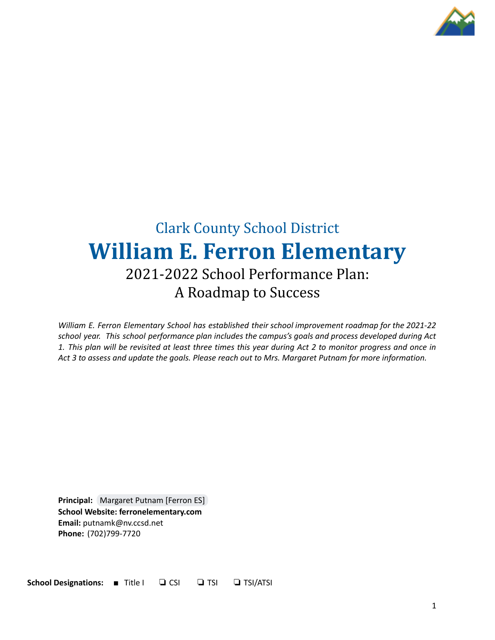

# Clark County School District **William E. Ferron Elementary** 2021-2022 School Performance Plan: A Roadmap to Success

*William E. Ferron Elementary School has established their school improvement roadmap for the 2021-22 school year. This school performance plan includes the campus's goals and process developed during Act* 1. This plan will be revisited at least three times this year during Act 2 to monitor progress and once in Act 3 to assess and update the goals. Please reach out to Mrs. Margaret Putnam for more information.

**Principal:** [Margaret](mailto:putnamk@nv.ccsd.net) Putnam [Ferron ES] **School Website: ferronelementary.com Email:** putnamk@nv.ccsd.net **Phone:** (702)799-7720

**School Designations:** ■ Title I ❏ CSI ❏ TSI ❏ TSI/ATSI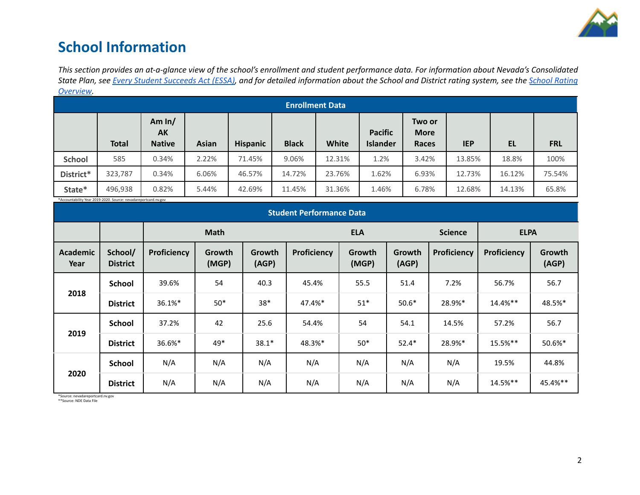

## **School Information**

This section provides an at-a-glance view of the school's enrollment and student performance data. For information about Nevada's Consolidated State Plan, see Every Student [Succeeds](https://doe.nv.gov/uploadedFiles/ndedoenvgov/content/Boards_Commissions_Councils/ESSA_Adv_Group/NevadaSubmittedConsolidatedPlanFinal.pdf) Act (ESSA), and for detailed information about the School and District rating system, see the School [Rating](http://nevadareportcard.nv.gov/DI/MoreDownload?filename=Nevadas%20School%20Rating%20System.pdf) *[Overview.](http://nevadareportcard.nv.gov/DI/MoreDownload?filename=Nevadas%20School%20Rating%20System.pdf)*

|                        | ---------    |                                 |              |                 |              |        |                                   |                                |            |        |            |
|------------------------|--------------|---------------------------------|--------------|-----------------|--------------|--------|-----------------------------------|--------------------------------|------------|--------|------------|
| <b>Enrollment Data</b> |              |                                 |              |                 |              |        |                                   |                                |            |        |            |
|                        | <b>Total</b> | Am $ln/$<br>AK<br><b>Native</b> | <b>Asian</b> | <b>Hispanic</b> | <b>Black</b> | White  | <b>Pacific</b><br><b>Islander</b> | Two or<br><b>More</b><br>Races | <b>IEP</b> | EL     | <b>FRL</b> |
| <b>School</b>          | 585          | 0.34%                           | 2.22%        | 71.45%          | 9.06%        | 12.31% | 1.2%                              | 3.42%                          | 13.85%     | 18.8%  | 100%       |
| District*              | 323,787      | 0.34%                           | 6.06%        | 46.57%          | 14.72%       | 23.76% | 1.62%                             | 6.93%                          | 12.73%     | 16.12% | 75.54%     |
| State*                 | 496,938      | 0.82%                           | 5.44%        | 42.69%          | 11.45%       | 31.36% | 1.46%                             | 6.78%                          | 12.68%     | 14.13% | 65.8%      |

\*Accountability Year 2019-2020. Source: nevadareportcard.nv.gov

| Accountability ical 2015 2020. Source: ilevadareporteara.iiv.gov<br><b>Student Performance Data</b> |                            |             |                 |                 |             |                 |                 |                |             |                        |
|-----------------------------------------------------------------------------------------------------|----------------------------|-------------|-----------------|-----------------|-------------|-----------------|-----------------|----------------|-------------|------------------------|
|                                                                                                     |                            | <b>Math</b> |                 |                 | <b>ELA</b>  |                 |                 | <b>Science</b> | <b>ELPA</b> |                        |
| <b>Academic</b><br>Year                                                                             | School/<br><b>District</b> | Proficiency | Growth<br>(MGP) | Growth<br>(AGP) | Proficiency | Growth<br>(MGP) | Growth<br>(AGP) | Proficiency    | Proficiency | <b>Growth</b><br>(AGP) |
|                                                                                                     | School                     | 39.6%       | 54              | 40.3            | 45.4%       | 55.5            | 51.4            | 7.2%           | 56.7%       | 56.7                   |
| 2018                                                                                                | <b>District</b>            | 36.1%*      | $50*$           | $38*$           | 47.4%*      | $51*$           | $50.6*$         | 28.9%*         | 14.4%**     | 48.5%*                 |
|                                                                                                     | <b>School</b>              | 37.2%       | 42              | 25.6            | 54.4%       | 54              | 54.1            | 14.5%          | 57.2%       | 56.7                   |
| 2019                                                                                                | <b>District</b>            | 36.6%*      | 49*             | $38.1*$         | 48.3%*      | $50*$           | $52.4*$         | 28.9%*         | 15.5%**     | 50.6%*                 |
|                                                                                                     | <b>School</b>              | N/A         | N/A             | N/A             | N/A         | N/A             | N/A             | N/A            | 19.5%       | 44.8%                  |
| 2020                                                                                                | <b>District</b>            | N/A         | N/A             | N/A             | N/A         | N/A             | N/A             | N/A            | 14.5%**     | 45.4%**                |

\*Source: nevadareportcard.nv.gov \*\*Source: NDE Data File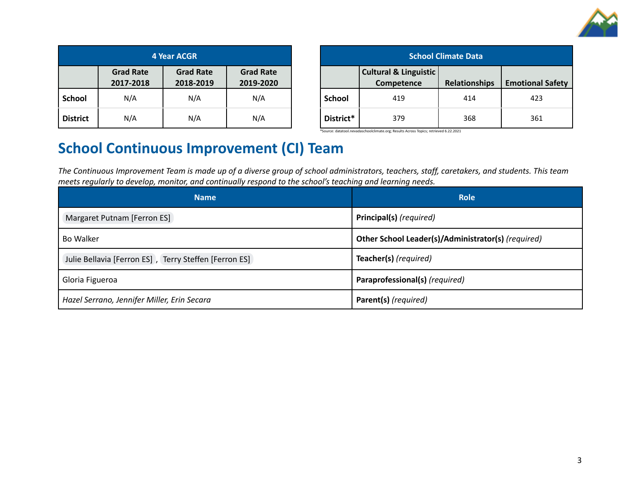

| <b>4 Year ACGR</b> |                               |                               |                               |  |  |
|--------------------|-------------------------------|-------------------------------|-------------------------------|--|--|
|                    | <b>Grad Rate</b><br>2017-2018 | <b>Grad Rate</b><br>2018-2019 | <b>Grad Rate</b><br>2019-2020 |  |  |
| <b>School</b>      | N/A                           | N/A                           | N/A                           |  |  |
| <b>District</b>    | N/A                           | N/A                           | N/A                           |  |  |

| <b>School Climate Data</b> |                                                       |                      |                         |  |  |
|----------------------------|-------------------------------------------------------|----------------------|-------------------------|--|--|
|                            | <b>Cultural &amp; Linguistic</b><br><b>Competence</b> | <b>Relationships</b> | <b>Emotional Safety</b> |  |  |
| <b>School</b>              | 419                                                   | 414                  | 423                     |  |  |
| District*                  | 379                                                   | 368                  | 361                     |  |  |

\*Source: datatool.nevadaschoolclimate.org; Results Across Topics; retrieved 6.22.2021

## **School Continuous Improvement (CI) Team**

The Continuous Improvement Team is made up of a diverse group of school administrators, teachers, staff, caretakers, and students. This team *meets regularly to develop, monitor, and continually respond to the school's teaching and learning needs.*

| <b>Name</b>                                           | <b>Role</b>                                        |
|-------------------------------------------------------|----------------------------------------------------|
| Margaret Putnam [Ferron ES]                           | Principal(s) (required)                            |
| <b>Bo Walker</b>                                      | Other School Leader(s)/Administrator(s) (required) |
| Julie Bellavia [Ferron ES], Terry Steffen [Ferron ES] | Teacher(s) (required)                              |
| Gloria Figueroa                                       | Paraprofessional(s) (required)                     |
| Hazel Serrano, Jennifer Miller, Erin Secara           | Parent(s) (required)                               |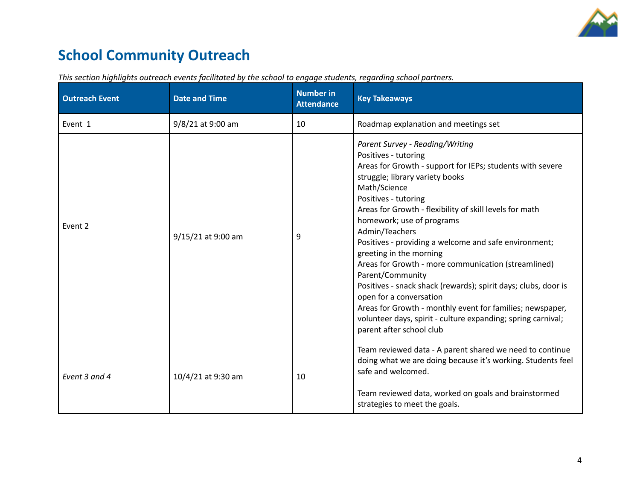

## **School Community Outreach**

| <b>Outreach Event</b> | <b>Date and Time</b> | <b>Number in</b><br><b>Attendance</b> | <b>Key Takeaways</b>                                                                                                                                                                                                                                                                                                                                                                                                                                                                                                                                                                                                                                                                                                           |
|-----------------------|----------------------|---------------------------------------|--------------------------------------------------------------------------------------------------------------------------------------------------------------------------------------------------------------------------------------------------------------------------------------------------------------------------------------------------------------------------------------------------------------------------------------------------------------------------------------------------------------------------------------------------------------------------------------------------------------------------------------------------------------------------------------------------------------------------------|
| Event 1               | 9/8/21 at 9:00 am    | 10                                    | Roadmap explanation and meetings set                                                                                                                                                                                                                                                                                                                                                                                                                                                                                                                                                                                                                                                                                           |
| Event 2               | 9/15/21 at 9:00 am   | 9                                     | Parent Survey - Reading/Writing<br>Positives - tutoring<br>Areas for Growth - support for IEPs; students with severe<br>struggle; library variety books<br>Math/Science<br>Positives - tutoring<br>Areas for Growth - flexibility of skill levels for math<br>homework; use of programs<br>Admin/Teachers<br>Positives - providing a welcome and safe environment;<br>greeting in the morning<br>Areas for Growth - more communication (streamlined)<br>Parent/Community<br>Positives - snack shack (rewards); spirit days; clubs, door is<br>open for a conversation<br>Areas for Growth - monthly event for families; newspaper,<br>volunteer days, spirit - culture expanding; spring carnival;<br>parent after school club |
| Event 3 and 4         | 10/4/21 at 9:30 am   | 10                                    | Team reviewed data - A parent shared we need to continue<br>doing what we are doing because it's working. Students feel<br>safe and welcomed.<br>Team reviewed data, worked on goals and brainstormed<br>strategies to meet the goals.                                                                                                                                                                                                                                                                                                                                                                                                                                                                                         |

*This section highlights outreach events facilitated by the school to engage students, regarding school partners.*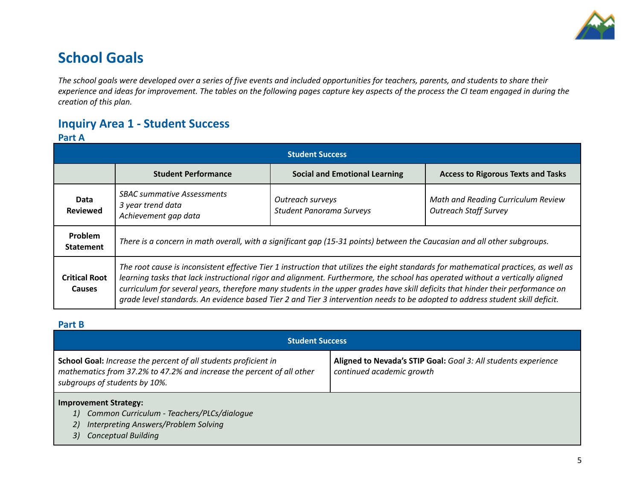

## **School Goals**

The school goals were developed over a series of five events and included opportunities for teachers, parents, and students to share their experience and ideas for improvement. The tables on the following pages capture key aspects of the process the CI team engaged in during the *creation of this plan.*

### **Inquiry Area 1 - Student Success**

#### **Part A**

| <b>Student Success</b>                |                                                                                                                                                                                                                                                                                                                                                                                                                                                                                                                                          |                                      |                                           |  |  |
|---------------------------------------|------------------------------------------------------------------------------------------------------------------------------------------------------------------------------------------------------------------------------------------------------------------------------------------------------------------------------------------------------------------------------------------------------------------------------------------------------------------------------------------------------------------------------------------|--------------------------------------|-------------------------------------------|--|--|
|                                       | <b>Student Performance</b>                                                                                                                                                                                                                                                                                                                                                                                                                                                                                                               | <b>Social and Emotional Learning</b> | <b>Access to Rigorous Texts and Tasks</b> |  |  |
| Data<br><b>Reviewed</b>               | <b>SBAC summative Assessments</b><br>Math and Reading Curriculum Review<br>Outreach surveys<br>3 year trend data<br><b>Outreach Staff Survey</b><br><b>Student Panorama Surveys</b><br>Achievement gap data                                                                                                                                                                                                                                                                                                                              |                                      |                                           |  |  |
| Problem<br><b>Statement</b>           | There is a concern in math overall, with a significant gap (15-31 points) between the Caucasian and all other subgroups.                                                                                                                                                                                                                                                                                                                                                                                                                 |                                      |                                           |  |  |
| <b>Critical Root</b><br><b>Causes</b> | The root cause is inconsistent effective Tier 1 instruction that utilizes the eight standards for mathematical practices, as well as<br>learning tasks that lack instructional rigor and alignment. Furthermore, the school has operated without a vertically aligned<br>curriculum for several years, therefore many students in the upper grades have skill deficits that hinder their performance on<br>grade level standards. An evidence based Tier 2 and Tier 3 intervention needs to be adopted to address student skill deficit. |                                      |                                           |  |  |

#### **Part B**

| <b>Student Success</b>                                                                                                                                                    |                                                                                             |  |  |  |
|---------------------------------------------------------------------------------------------------------------------------------------------------------------------------|---------------------------------------------------------------------------------------------|--|--|--|
| School Goal: Increase the percent of all students proficient in<br>mathematics from 37.2% to 47.2% and increase the percent of all other<br>subgroups of students by 10%. | Aligned to Nevada's STIP Goal: Goal 3: All students experience<br>continued academic growth |  |  |  |

#### **Improvement Strategy:**

- *1) Common Curriculum - Teachers/PLCs/dialogue*
- *2) Interpreting Answers/Problem Solving*
- *3) Conceptual Building*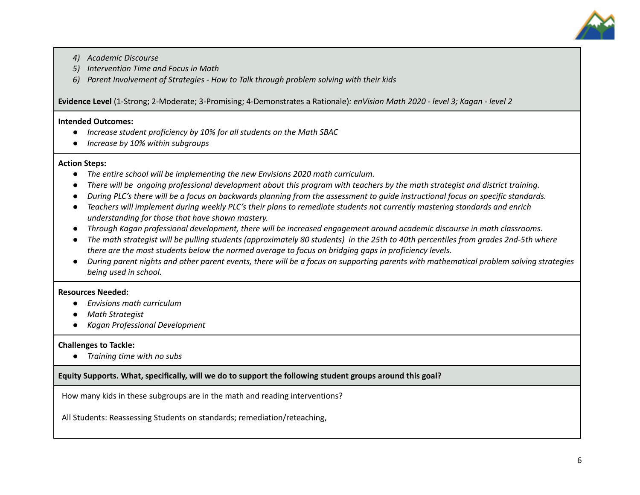

- *4) Academic Discourse*
- *5) Intervention Time and Focus in Math*
- *6) Parent Involvement of Strategies - How to Talk through problem solving with their kids*

**Evidence Level** (1-Strong; 2-Moderate; 3-Promising; 4-Demonstrates a Rationale)*: enVision Math 2020 - level 3; Kagan - level 2*

#### **Intended Outcomes:**

- *● Increase student proficiency by 10% for all students on the Math SBAC*
- *● Increase by 10% within subgroups*

#### **Action Steps:**

- *● The entire school will be implementing the new Envisions 2020 math curriculum.*
- There will be ongoing professional development about this program with teachers by the math strategist and district training.
- During PLC's there will be a focus on backwards planning from the assessment to quide instructional focus on specific standards.
- Teachers will implement during weekly PLC's their plans to remediate students not currently mastering standards and enrich *understanding for those that have shown mastery.*
- Through Kagan professional development, there will be increased engagement around academic discourse in math classrooms.
- The math strategist will be pulling students (approximately 80 students) in the 25th to 40th percentiles from grades 2nd-5th where *there are the most students below the normed average to focus on bridging gaps in proficiency levels.*
- During parent nights and other parent events, there will be a focus on supporting parents with mathematical problem solving strategies *being used in school.*

#### **Resources Needed:**

- *● Envisions math curriculum*
- *● Math Strategist*
- *● Kagan Professional Development*

#### **Challenges to Tackle:**

*● Training time with no subs*

#### **Equity Supports. What, specifically, will we do to support the following student groups around this goal?**

How many kids in these subgroups are in the math and reading interventions?

All Students: Reassessing Students on standards; remediation/reteaching,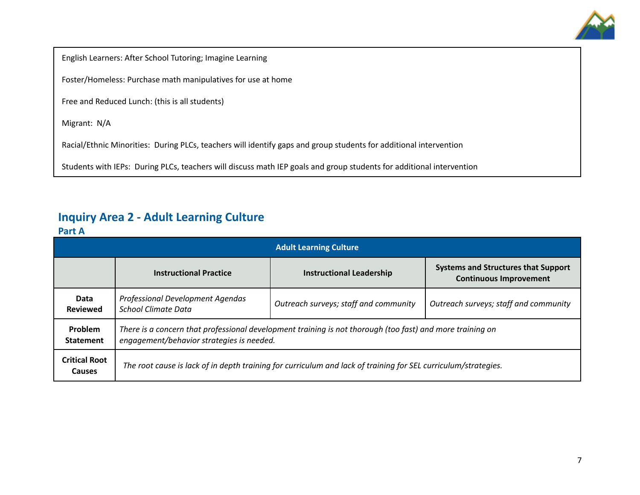

English Learners: After School Tutoring; Imagine Learning

Foster/Homeless: Purchase math manipulatives for use at home

Free and Reduced Lunch: (this is all students)

Migrant: N/A

Racial/Ethnic Minorities: During PLCs, teachers will identify gaps and group students for additional intervention

Students with IEPs: During PLCs, teachers will discuss math IEP goals and group students for additional intervention

### **Inquiry Area 2 - Adult Learning Culture**

#### **Part A**

| <b>Adult Learning Culture</b>         |                                                                                                                                                        |                                       |                                                                             |  |  |
|---------------------------------------|--------------------------------------------------------------------------------------------------------------------------------------------------------|---------------------------------------|-----------------------------------------------------------------------------|--|--|
|                                       | <b>Instructional Practice</b>                                                                                                                          | <b>Instructional Leadership</b>       | <b>Systems and Structures that Support</b><br><b>Continuous Improvement</b> |  |  |
| Data<br><b>Reviewed</b>               | Professional Development Agendas<br>School Climate Data                                                                                                | Outreach surveys; staff and community | Outreach surveys; staff and community                                       |  |  |
| Problem<br><b>Statement</b>           | There is a concern that professional development training is not thorough (too fast) and more training on<br>engagement/behavior strategies is needed. |                                       |                                                                             |  |  |
| <b>Critical Root</b><br><b>Causes</b> | The root cause is lack of in depth training for curriculum and lack of training for SEL curriculum/strategies.                                         |                                       |                                                                             |  |  |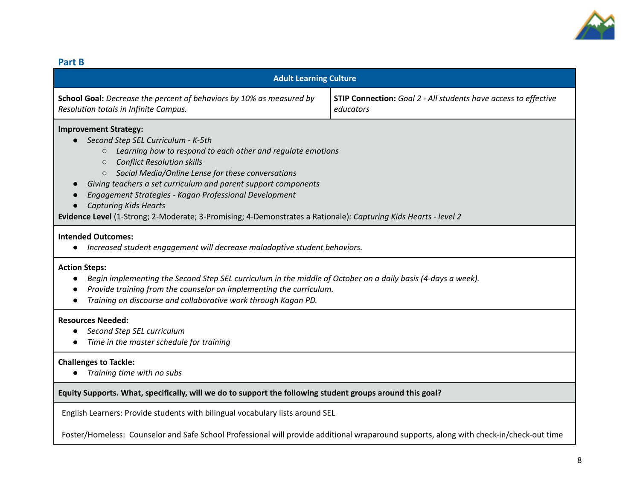

#### **Part B**

| <b>Adult Learning Culture</b>                                                                                                                                                                                                                                                                                                                                                                                                                                                                                                               |                                                                              |  |  |  |  |
|---------------------------------------------------------------------------------------------------------------------------------------------------------------------------------------------------------------------------------------------------------------------------------------------------------------------------------------------------------------------------------------------------------------------------------------------------------------------------------------------------------------------------------------------|------------------------------------------------------------------------------|--|--|--|--|
| School Goal: Decrease the percent of behaviors by 10% as measured by<br>Resolution totals in Infinite Campus.                                                                                                                                                                                                                                                                                                                                                                                                                               | STIP Connection: Goal 2 - All students have access to effective<br>educators |  |  |  |  |
| <b>Improvement Strategy:</b><br>Second Step SEL Curriculum - K-5th<br>Learning how to respond to each other and regulate emotions<br>$\circ$<br><b>Conflict Resolution skills</b><br>$\circ$<br>Social Media/Online Lense for these conversations<br>$\circ$<br>Giving teachers a set curriculum and parent support components<br>Engagement Strategies - Kagan Professional Development<br><b>Capturing Kids Hearts</b><br>Evidence Level (1-Strong; 2-Moderate; 3-Promising; 4-Demonstrates a Rationale): Capturing Kids Hearts - level 2 |                                                                              |  |  |  |  |
| <b>Intended Outcomes:</b><br>Increased student engagement will decrease maladaptive student behaviors.                                                                                                                                                                                                                                                                                                                                                                                                                                      |                                                                              |  |  |  |  |
| <b>Action Steps:</b><br>Begin implementing the Second Step SEL curriculum in the middle of October on a daily basis (4-days a week).<br>$\bullet$<br>Provide training from the counselor on implementing the curriculum.<br>Training on discourse and collaborative work through Kagan PD.                                                                                                                                                                                                                                                  |                                                                              |  |  |  |  |
| <b>Resources Needed:</b><br>Second Step SEL curriculum<br>Time in the master schedule for training                                                                                                                                                                                                                                                                                                                                                                                                                                          |                                                                              |  |  |  |  |
| <b>Challenges to Tackle:</b><br>Training time with no subs<br>$\bullet$                                                                                                                                                                                                                                                                                                                                                                                                                                                                     |                                                                              |  |  |  |  |
| Equity Supports. What, specifically, will we do to support the following student groups around this goal?                                                                                                                                                                                                                                                                                                                                                                                                                                   |                                                                              |  |  |  |  |
| English Learners: Provide students with bilingual vocabulary lists around SEL                                                                                                                                                                                                                                                                                                                                                                                                                                                               |                                                                              |  |  |  |  |
| Foster/Homeless: Counselor and Safe School Professional will provide additional wraparound supports, along with check-in/check-out time                                                                                                                                                                                                                                                                                                                                                                                                     |                                                                              |  |  |  |  |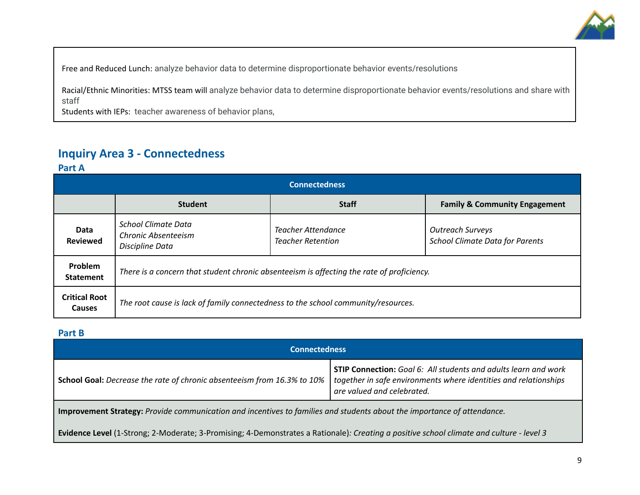

Free and Reduced Lunch: analyze behavior data to determine disproportionate behavior events/resolutions

Racial/Ethnic Minorities: MTSS team will analyze behavior data to determine disproportionate behavior events/resolutions and share with staff

Students with IEPs: teacher awareness of behavior plans,

### **Inquiry Area 3 - Connectedness**

**Part A**

| <b>Connectedness</b>                  |                                                                                                                                                                                                    |              |                                          |  |  |
|---------------------------------------|----------------------------------------------------------------------------------------------------------------------------------------------------------------------------------------------------|--------------|------------------------------------------|--|--|
|                                       | <b>Student</b>                                                                                                                                                                                     | <b>Staff</b> | <b>Family &amp; Community Engagement</b> |  |  |
| Data<br><b>Reviewed</b>               | <b>School Climate Data</b><br><b>Teacher Attendance</b><br><b>Outreach Surveys</b><br>Chronic Absenteeism<br><b>School Climate Data for Parents</b><br><b>Teacher Retention</b><br>Discipline Data |              |                                          |  |  |
| Problem<br><b>Statement</b>           | There is a concern that student chronic absenteeism is affecting the rate of proficiency.                                                                                                          |              |                                          |  |  |
| <b>Critical Root</b><br><b>Causes</b> | The root cause is lack of family connectedness to the school community/resources.                                                                                                                  |              |                                          |  |  |

**Part B**

| <b>Connectedness</b>                                                                                                    |                                                                                                                                                                          |  |  |  |
|-------------------------------------------------------------------------------------------------------------------------|--------------------------------------------------------------------------------------------------------------------------------------------------------------------------|--|--|--|
| <b>School Goal:</b> Decrease the rate of chronic absenteeism from 16.3% to 10%                                          | <b>STIP Connection:</b> Goal 6: All students and adults learn and work<br>together in safe environments where identities and relationships<br>are valued and celebrated. |  |  |  |
| Improvement Strategy: Provide communication and incentives to families and students about the importance of attendance. |                                                                                                                                                                          |  |  |  |

Evidence Level (1-Strong; 2-Moderate; 3-Promising; 4-Demonstrates a Rationale): Creating a positive school climate and culture - level 3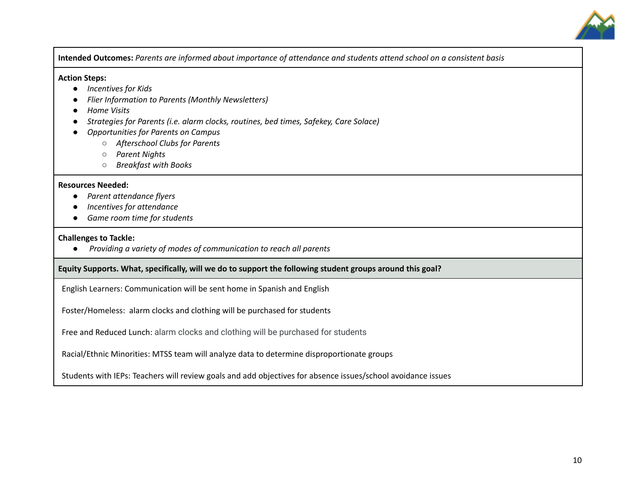

Intended Outcomes: Parents are informed about importance of attendance and students attend school on a consistent basis

#### **Action Steps:**

- *● Incentives for Kids*
- *● Flier Information to Parents (Monthly Newsletters)*
- *● Home Visits*
- *● Strategies for Parents (i.e. alarm clocks, routines, bed times, Safekey, Care Solace)*
- *● Opportunities for Parents on Campus*
	- *○ Afterschool Clubs for Parents*
	- *○ Parent Nights*
	- *○ Breakfast with Books*

#### **Resources Needed:**

- **●** *Parent attendance flyers*
- *● Incentives for attendance*
- *● Game room time for students*

#### **Challenges to Tackle:**

**●** *Providing a variety of modes of communication to reach all parents*

#### **Equity Supports. What, specifically, will we do to support the following student groups around this goal?**

English Learners: Communication will be sent home in Spanish and English

Foster/Homeless: alarm clocks and clothing will be purchased for students

Free and Reduced Lunch: alarm clocks and clothing will be purchased for students

Racial/Ethnic Minorities: MTSS team will analyze data to determine disproportionate groups

Students with IEPs: Teachers will review goals and add objectives for absence issues/school avoidance issues